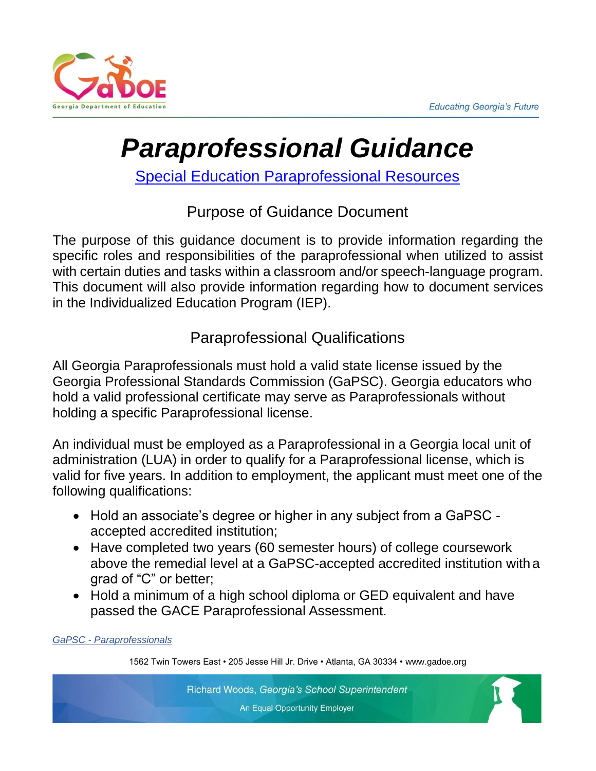

# *Paraprofessional Guidance*

[Special Education Paraprofessional Resources](https://www.gadoe.org/Curriculum-Instruction-and-Assessment/Special-Education-Services/Documents/Sp%20Ed%20homepg/Paraprofessional%20Resources%209272021_.pdf)

# Purpose of Guidance Document

The purpose of this guidance document is to provide information regarding the specific roles and responsibilities of the paraprofessional when utilized to assist with certain duties and tasks within a classroom and/or speech-language program. This document will also provide information regarding how to document services in the Individualized Education Program (IEP).

# Paraprofessional Qualifications

All Georgia Paraprofessionals must hold a valid state license issued by the Georgia Professional Standards Commission (GaPSC). Georgia educators who hold a valid professional certificate may serve as Paraprofessionals without holding a specific Paraprofessional license.

An individual must be employed as a Paraprofessional in a Georgia local unit of administration (LUA) in order to qualify for a Paraprofessional license, which is valid for five years. In addition to employment, the applicant must meet one of the following qualifications:

- Hold an associate's degree or higher in any subject from a GaPSC accepted accredited institution;
- Have completed two years (60 semester hours) of college coursework above the remedial level at a GaPSC-accepted accredited institution with a grad of "C" or better;
- Hold a minimum of a high school diploma or GED equivalent and have passed the GACE Paraprofessional Assessment.

*GaPSC - [Paraprofessionals](https://www.gapsc.com/Certification/LicensesPermits/paraprofessional.aspx)*

1562 Twin Towers East • 205 Jesse Hill Jr. Drive • Atlanta, GA 30334 [• www.gadoe.org](http://www.gadoe.org/)

Richard Woods, Georgia's School Superintendent An Equal Opportunity Employer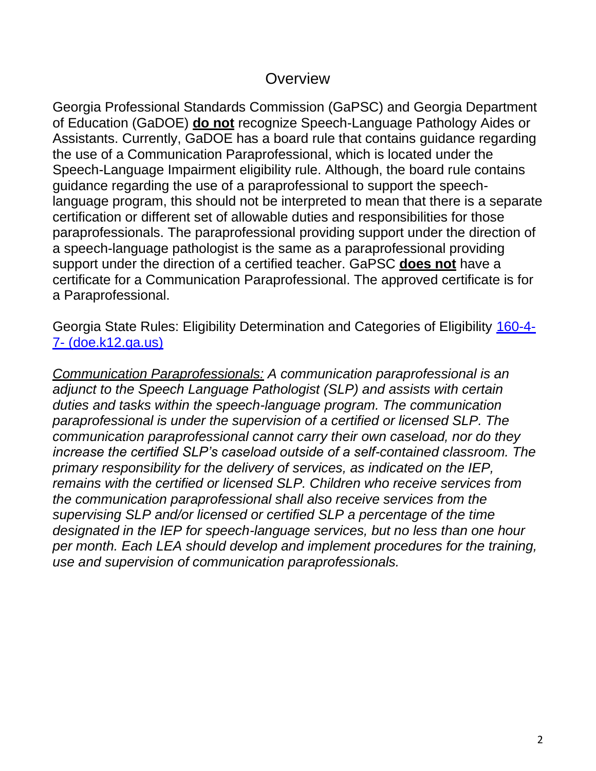#### **Overview**

Georgia Professional Standards Commission (GaPSC) and Georgia Department of Education (GaDOE) **do not** recognize Speech-Language Pathology Aides or Assistants. Currently, GaDOE has a board rule that contains guidance regarding the use of a Communication Paraprofessional, which is located under the Speech-Language Impairment eligibility rule. Although, the board rule contains guidance regarding the use of a paraprofessional to support the speechlanguage program, this should not be interpreted to mean that there is a separate certification or different set of allowable duties and responsibilities for those paraprofessionals. The paraprofessional providing support under the direction of a speech-language pathologist is the same as a paraprofessional providing support under the direction of a certified teacher. GaPSC **does not** have a certificate for a Communication Paraprofessional. The approved certificate is for a Paraprofessional.

Georgia State Rules: Eligibility Determination and Categories of Eligibility [160-4-](http://archives.doe.k12.ga.us/DMGetDocument.aspx/160-4-7-.05_Eligibility_3-31-10.pdf?p=6CC6799F8C1371F652A505DFC2E6E9873664C9C07475C448B6F4C484C7DA08A6&Type=D) 7- [\(doe.k12.ga.us\)](http://archives.doe.k12.ga.us/DMGetDocument.aspx/160-4-7-.05_Eligibility_3-31-10.pdf?p=6CC6799F8C1371F652A505DFC2E6E9873664C9C07475C448B6F4C484C7DA08A6&Type=D)

*Communication Paraprofessionals: A communication paraprofessional is an adjunct to the Speech Language Pathologist (SLP) and assists with certain duties and tasks within the speech-language program. The communication paraprofessional is under the supervision of a certified or licensed SLP. The communication paraprofessional cannot carry their own caseload, nor do they increase the certified SLP's caseload outside of a self-contained classroom. The primary responsibility for the delivery of services, as indicated on the IEP, remains with the certified or licensed SLP. Children who receive services from the communication paraprofessional shall also receive services from the supervising SLP and/or licensed or certified SLP a percentage of the time designated in the IEP for speech-language services, but no less than one hour per month. Each LEA should develop and implement procedures for the training, use and supervision of communication paraprofessionals.*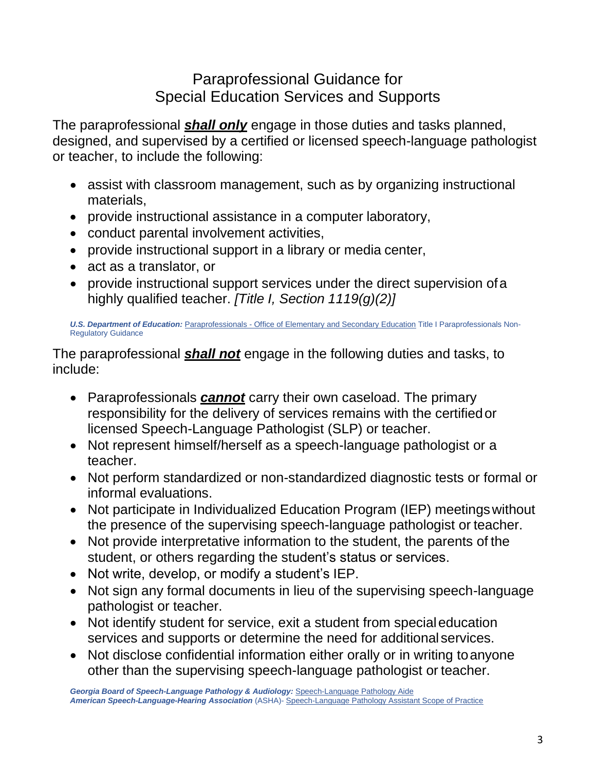#### Paraprofessional Guidance for Special Education Services and Supports

The paraprofessional *shall only* engage in those duties and tasks planned, designed, and supervised by a certified or licensed speech-language pathologist or teacher, to include the following:

- assist with classroom management, such as by organizing instructional materials,
- provide instructional assistance in a computer laboratory,
- conduct parental involvement activities,
- provide instructional support in a library or media center,
- act as a translator, or
- provide instructional support services under the direct supervision of a highly qualified teacher. *[Title I, Section 1119(g)(2)]*

*U.S. Department of Education:* Paraprofessionals - [Office of Elementary and Secondary Education](https://oese.ed.gov/offices/office-of-discretionary-grants-support-services/effective-educator-development-programs/paraprofessionals/) Title I Paraprofessionals Non-Regulatory Guidance

The paraprofessional *shall not* engage in the following duties and tasks, to include:

- Paraprofessionals *cannot* carry their own caseload. The primary responsibility for the delivery of services remains with the certifiedor licensed Speech-Language Pathologist (SLP) or teacher.
- Not represent himself/herself as a speech-language pathologist or a teacher.
- Not perform standardized or non-standardized diagnostic tests or formal or informal evaluations.
- Not participate in Individualized Education Program (IEP) meetings without the presence of the supervising speech-language pathologist or teacher.
- Not provide interpretative information to the student, the parents of the student, or others regarding the student's status or services.
- Not write, develop, or modify a student's IEP.
- Not sign any formal documents in lieu of the supervising speech-language pathologist or teacher.
- Not identify student for service, exit a student from special education services and supports or determine the need for additional services.
- Not disclose confidential information either orally or in writing to anyone other than the supervising speech-language pathologist or teacher.